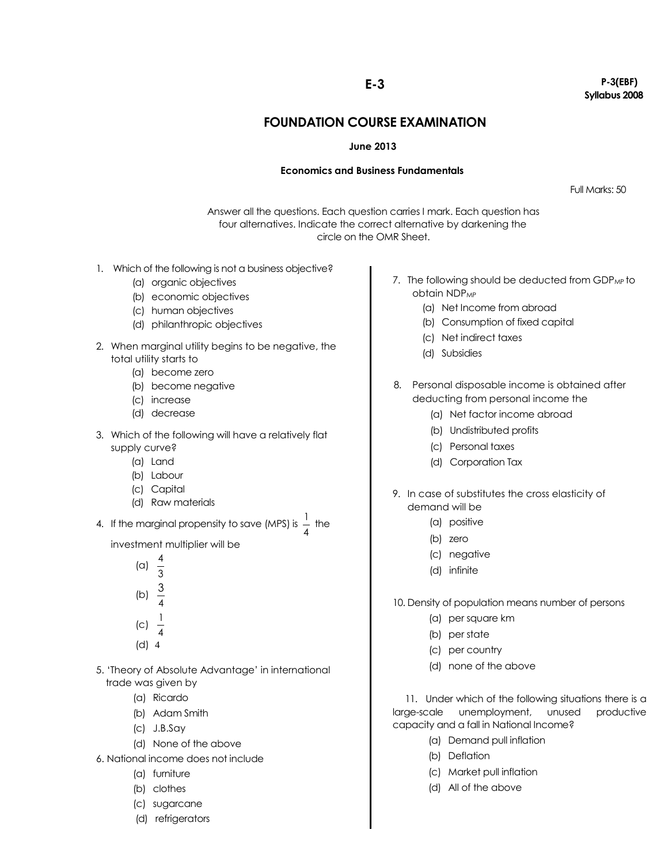## **FOUNDATION COURSE EXAMINATION**

## **June 2013**

## **Economics and Business Fundamentals**

Full Marks: 50

Answer all the questions. Each question carries I mark. Each question has four alternatives. Indicate the correct alternative by darkening the circle on the OMR Sheet.

- 1. Which of the following is not a business objective?
	- (a) organic objectives
	- (b) economic objectives
	- (c) human objectives
	- (d) philanthropic objectives
- 2. When marginal utility begins to be negative, the total utility starts to
	- (a) become zero
	- (b) become negative
	- (c) increase
	- (d) decrease
- 3. Which of the following will have a relatively flat supply curve?
	- (a) Land
	- (b) Labour
	- (c) Capital
	- (d) Raw materials
- 4. If the marginal propensity to save (MPS) is  $\frac{1}{4}$  $\frac{1}{2}$  the

investment multiplier will be

- 5. "Theory of Absolute Advantage" in international trade was given by
	- (a) Ricardo
	- (b) Adam Smith
	- (c) J.B.Say
	- (d) None of the above
- 6. National income does not include
	- (a) furniture
	- (b) clothes
	- (c) sugarcane
	- (d) refrigerators
- 7. The following should be deducted from GDP<sub>MP</sub> to obtain NDP<sub>MP</sub>
	- (a) Net Income from abroad
	- (b) Consumption of fixed capital
	- (c) Net indirect taxes
	- (d) Subsidies
- 8. Personal disposable income is obtained after deducting from personal income the
	- (a) Net factor income abroad
	- (b) Undistributed profits
	- (c) Personal taxes
	- (d) Corporation Tax
- 9. In case of substitutes the cross elasticity of demand will be
	- (a) positive
	- (b) zero
	- (c) negative
	- (d) infinite
- 10. Density of population means number of persons
	- (a) per square km
	- (b) per state
	- (c) per country
	- (d) none of the above

11. Under which of the following situations there is a large-scale unemployment, unused productive capacity and a fall in National Income?

- (a) Demand pull inflation
- (b) Deflation
- (c) Market pull inflation
- (d) All of the above

**E-3 P-3(EBF) Syllabus 2008**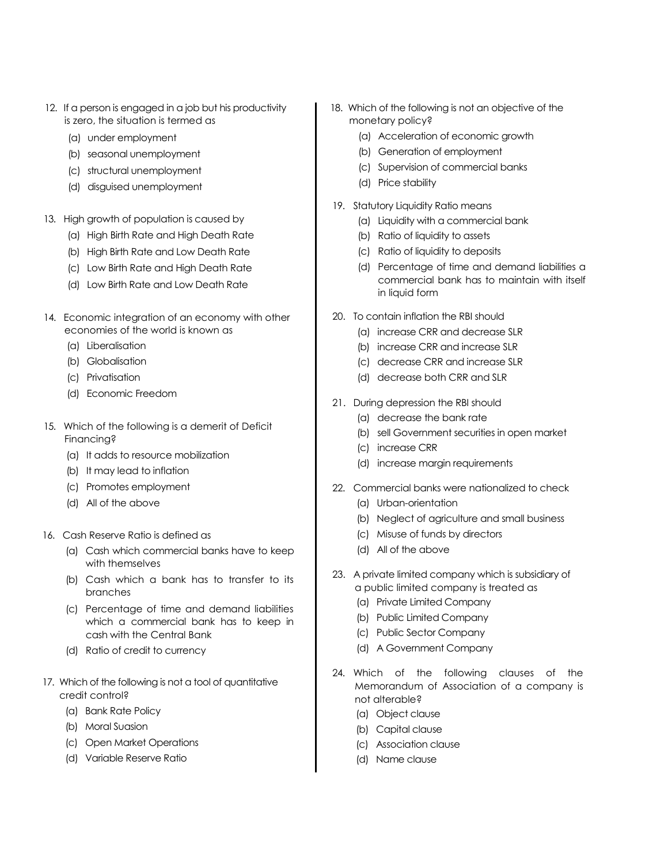- 12. If a person is engaged in a job but his productivity is zero, the situation is termed as
	- (a) under employment
	- (b) seasonal unemployment
	- (c) structural unemployment
	- (d) disguised unemployment
- 13. High growth of population is caused by
	- (a) High Birth Rate and High Death Rate
	- (b) High Birth Rate and Low Death Rate
	- (c) Low Birth Rate and High Death Rate
	- (d) Low Birth Rate and Low Death Rate
- 14. Economic integration of an economy with other economies of the world is known as
	- (a) Liberalisation
	- (b) Globalisation
	- (c) Privatisation
	- (d) Economic Freedom
- 15. Which of the following is a demerit of Deficit Financing?
	- (a) It adds to resource mobilization
	- (b) It may lead to inflation
	- (c) Promotes employment
	- (d) All of the above
- 16. Cash Reserve Ratio is defined as
	- (a) Cash which commercial banks have to keep with themselves
	- (b) Cash which a bank has to transfer to its branches
	- (c) Percentage of time and demand liabilities which a commercial bank has to keep in cash with the Central Bank
	- (d) Ratio of credit to currency
- 17. Which of the following is not a tool of quantitative credit control?
	- (a) Bank Rate Policy
	- (b) Moral Suasion
	- (c) Open Market Operations
	- (d) Variable Reserve Ratio
- 18. Which of the following is not an objective of the monetary policy?
	- (a) Acceleration of economic growth
	- (b) Generation of employment
	- (c) Supervision of commercial banks
	- (d) Price stability
- 19. Statutory Liquidity Ratio means
	- (a) Liquidity with a commercial bank
	- (b) Ratio of liquidity to assets
	- (c) Ratio of liquidity to deposits
	- (d) Percentage of time and demand liabilities a commercial bank has to maintain with itself in liquid form
- 20. To contain inflation the RBI should
	- (a) increase CRR and decrease SLR
	- (b) increase CRR and increase SLR
	- (c) decrease CRR and increase SLR
	- (d) decrease both CRR and SLR
- 21. During depression the RBI should
	- (a) decrease the bank rate
	- (b) sell Government securities in open market
	- (c) increase CRR
	- (d) increase margin requirements
- 22. Commercial banks were nationalized to check
	- (a) Urban-orientation
	- (b) Neglect of agriculture and small business
	- (c) Misuse of funds by directors
	- (d) All of the above
- 23. A private limited company which is subsidiary of
	- a public limited company is treated as
	- (a) Private Limited Company
	- (b) Public Limited Company
	- (c) Public Sector Company
	- (d) A Government Company
- 24. Which of the following clauses of the Memorandum of Association of a company is not alterable?
	- (a) Object clause
	- (b) Capital clause
	- (c) Association clause
	- (d) Name clause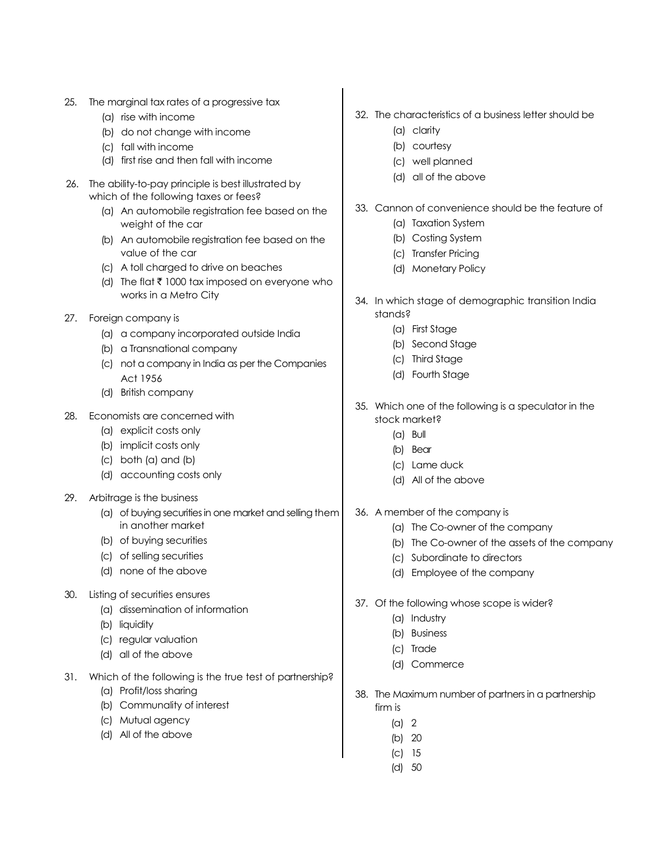- 25. The marginal tax rates of a progressive tax
	- (a) rise with income
	- (b) do not change with income
	- (c) fall with income
	- (d) first rise and then fall with income
- 26. The ability-to-pay principle is best illustrated by which of the following taxes or fees?
	- (a) An automobile registration fee based on the weight of the car
	- (b) An automobile registration fee based on the value of the car
	- (c) A toll charged to drive on beaches
	- (d) The flat  $\bar{\tau}$  1000 tax imposed on everyone who works in a Metro City
- 27. Foreign company is
	- (a) a company incorporated outside India
	- (b) a Transnational company
	- (c) not a company in India as per the Companies Act 1956
	- (d) British company
- 28. Economists are concerned with
	- (a) explicit costs only
	- (b) implicit costs only
	- (c) both (a) and (b)
	- (d) accounting costs only
- 29. Arbitrage is the business
	- (a) of buying securities in one market and selling them in another market
	- (b) of buying securities
	- (c) of selling securities
	- (d) none of the above
- 30. Listing of securities ensures
	- (a) dissemination of information
	- (b) liquidity
	- (c) regular valuation
	- (d) all of the above
- 31. Which of the following is the true test of partnership?
	- (a) Profit/loss sharing
	- (b) Communality of interest
	- (c) Mutual agency
	- (d) All of the above
- 32. The characteristics of a business letter should be
	- (a) clarity
	- (b) courtesy
	- (c) well planned
	- (d) all of the above
- 33. Cannon of convenience should be the feature of
	- (a) Taxation System
	- (b) Costing System
	- (c) Transfer Pricing
	- (d) Monetary Policy
- 34. In which stage of demographic transition India stands?
	- (a) First Stage
	- (b) Second Stage
	- (c) Third Stage
	- (d) Fourth Stage
- 35. Which one of the following is a speculator in the stock market?
	- (a) Bull
	- (b) Bear
	- (c) Lame duck
	- (d) All of the above
- 36. A member of the company is
	- (a) The Co-owner of the company
	- (b) The Co-owner of the assets of the company
	- (c) Subordinate to directors
	- (d) Employee of the company
- 37. Of the following whose scope is wider?
	- (a) Industry
	- (b) Business
	- (c) Trade
	- (d) Commerce
- 38. The Maximum number of partners in a partnership firm is
	- $(a)$  2
	- (b) 20
	- (c) 15
	- (d) 50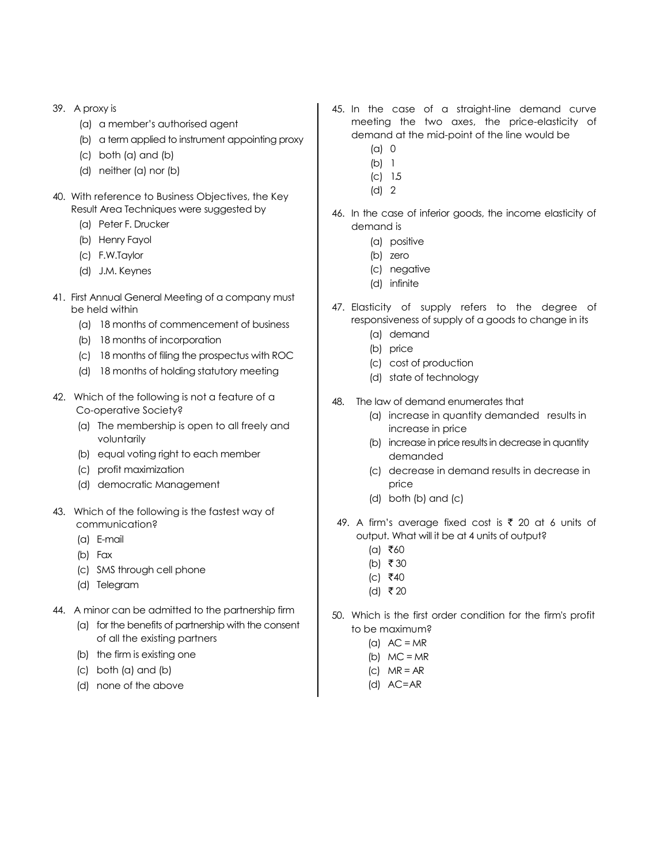- 39. A proxy is
	- (a) a member"s authorised agent
	- (b) a term applied to instrument appointing proxy
	- (c) both (a) and (b)
	- (d) neither (a) nor (b)
- 40. With reference to Business Objectives, the Key Result Area Techniques were suggested by
	- (a) Peter F. Drucker
	- (b) Henry Fayol
	- (c) F.W.Taylor
	- (d) J.M. Keynes
- 41. First Annual General Meeting of a company must be held within
	- (a) 18 months of commencement of business
	- (b) 18 months of incorporation
	- (c) 18 months of filing the prospectus with ROC
	- (d) 18 months of holding statutory meeting
- 42. Which of the following is not a feature of a Co-operative Society?
	- (a) The membership is open to all freely and voluntarily
	- (b) equal voting right to each member
	- (c) profit maximization
	- (d) democratic Management
- 43. Which of the following is the fastest way of communication?
	- (a) E-mail
	- (b) Fax
	- (c) SMS through cell phone
	- (d) Telegram
- 44. A minor can be admitted to the partnership firm
	- (a) for the benefits of partnership with the consent of all the existing partners
	- (b) the firm is existing one
	- (c) both (a) and (b)
	- (d) none of the above
- 45. In the case of a straight-line demand curve meeting the two axes, the price-elasticity of demand at the mid-point of the line would be
	- (a) 0
	- (b) 1
	- (c) 1.5
	- (d) 2
- 46. In the case of inferior goods, the income elasticity of demand is
	- (a) positive
	- (b) zero
	- (c) negative
	- (d) infinite
- 47. Elasticity of supply refers to the degree of responsiveness of supply of a goods to change in its
	- (a) demand
	- (b) price
	- (c) cost of production
	- (d) state of technology
- 48. The law of demand enumerates that
	- (a) increase in quantity demanded results in increase in price
	- (b) increase in price results in decrease in quantity demanded
	- (c) decrease in demand results in decrease in price
	- (d) both (b) and (c)
- 49. A firm's average fixed cost is  $\bar{\tau}$  20 at 6 units of output. What will it be at 4 units of output?
	- $(a)$  ₹60
	- (b) ₹ 30
	- $(c)$  ₹40
	- (d) ₹20
- 50. Which is the first order condition for the firm's profit to be maximum?
	- (a)  $AC = MR$
	- (b)  $MC = MR$
	- $|C|$  MR = AR
	- (d) AC=AR